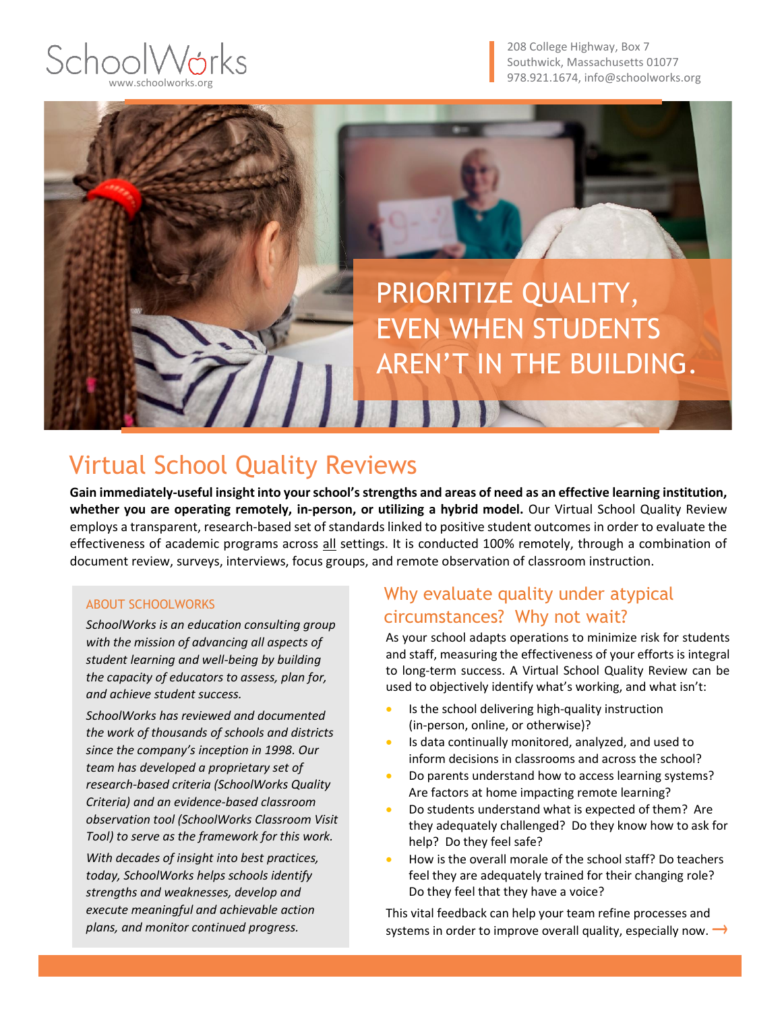## SchoolWár www.schoolworks.org

208 College Highway, Box 7 Southwick, Massachusetts 01077 978.921.1674, info@schoolworks.org



## Virtual School Quality Reviews

**Gain immediately-useful insight into your school's strengths and areas of need as an effective learning institution, whether you are operating remotely, in-person, or utilizing a hybrid model.** Our Virtual School Quality Review employs a transparent, research-based set of standards linked to positive student outcomes in order to evaluate the effectiveness of academic programs across all settings. It is conducted 100% remotely, through a combination of document review, surveys, interviews, focus groups, and remote observation of classroom instruction.

#### ABOUT SCHOOLWORKS

*SchoolWorks is an education consulting group with the mission of advancing all aspects of student learning and well-being by building the capacity of educators to assess, plan for, and achieve student success.* 

*SchoolWorks has reviewed and documented the work of thousands of schools and districts since the company's inception in 1998. Our team has developed a proprietary set of research-based criteria (SchoolWorks Quality Criteria) and an evidence-based classroom observation tool (SchoolWorks Classroom Visit Tool) to serve as the framework for this work.* 

*With decades of insight into best practices, today, SchoolWorks helps schools identify strengths and weaknesses, develop and execute meaningful and achievable action plans, and monitor continued progress.*

### Why evaluate quality under atypical circumstances? Why not wait?

As your school adapts operations to minimize risk for students and staff, measuring the effectiveness of your efforts is integral to long-term success. A Virtual School Quality Review can be used to objectively identify what's working, and what isn't:

- Is the school delivering high-quality instruction (in-person, online, or otherwise)?
- Is data continually monitored, analyzed, and used to inform decisions in classrooms and across the school?
- Do parents understand how to access learning systems? Are factors at home impacting remote learning?
- Do students understand what is expected of them? Are they adequately challenged? Do they know how to ask for help? Do they feel safe?
- How is the overall morale of the school staff? Do teachers feel they are adequately trained for their changing role? Do they feel that they have a voice?

This vital feedback can help your team refine processes and systems in order to improve overall quality, especially now.  $\rightarrow$